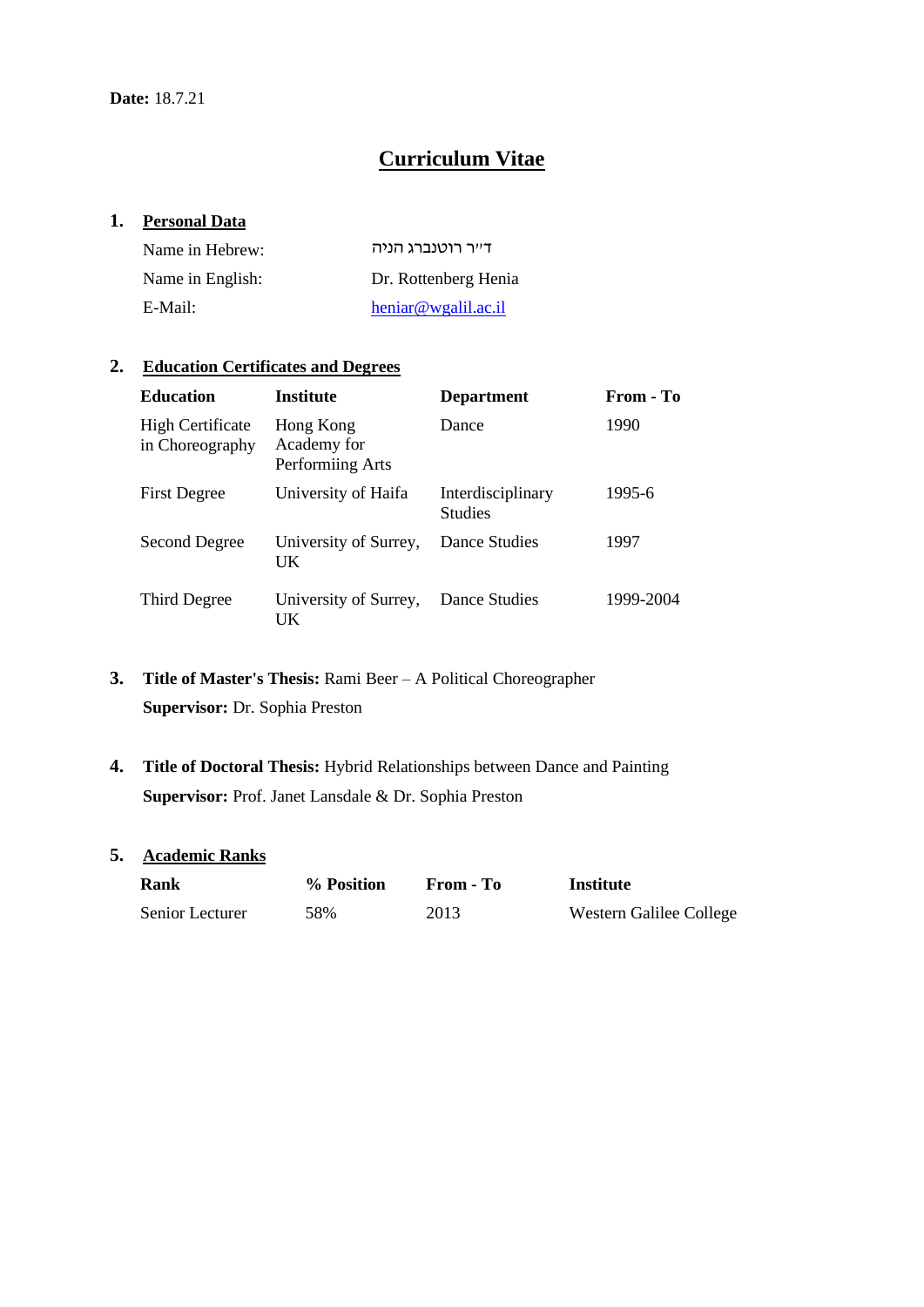# **Curriculum Vitae**

### **1. Personal Data**

| Name in Hebrew:  | דייר רוטנברג הניה    |
|------------------|----------------------|
| Name in English: | Dr. Rottenberg Henia |
| E-Mail:          | heniar@wgalil.ac.i   |

### **2. Education Certificates and Degrees**

| <b>Education</b>                           | <b>Institute</b>                             | <b>Department</b>                   | From - To |
|--------------------------------------------|----------------------------------------------|-------------------------------------|-----------|
| <b>High Certificate</b><br>in Choreography | Hong Kong<br>Academy for<br>Performiing Arts | Dance                               | 1990      |
| <b>First Degree</b>                        | University of Haifa                          | Interdisciplinary<br><b>Studies</b> | 1995-6    |
| Second Degree                              | University of Surrey,<br>UK                  | Dance Studies                       | 1997      |
| Third Degree                               | University of Surrey,<br>UK                  | Dance Studies                       | 1999-2004 |

- **3. Title of Master's Thesis:** Rami Beer A Political Choreographer **Supervisor:** Dr. Sophia Preston
- **4. Title of Doctoral Thesis:** Hybrid Relationships between Dance and Painting **Supervisor:** Prof. Janet Lansdale & Dr. Sophia Preston

### **5. Academic Ranks**

| Rank            | % Position | From - To | Institute               |
|-----------------|------------|-----------|-------------------------|
| Senior Lecturer | 58%        | 2013      | Western Galilee College |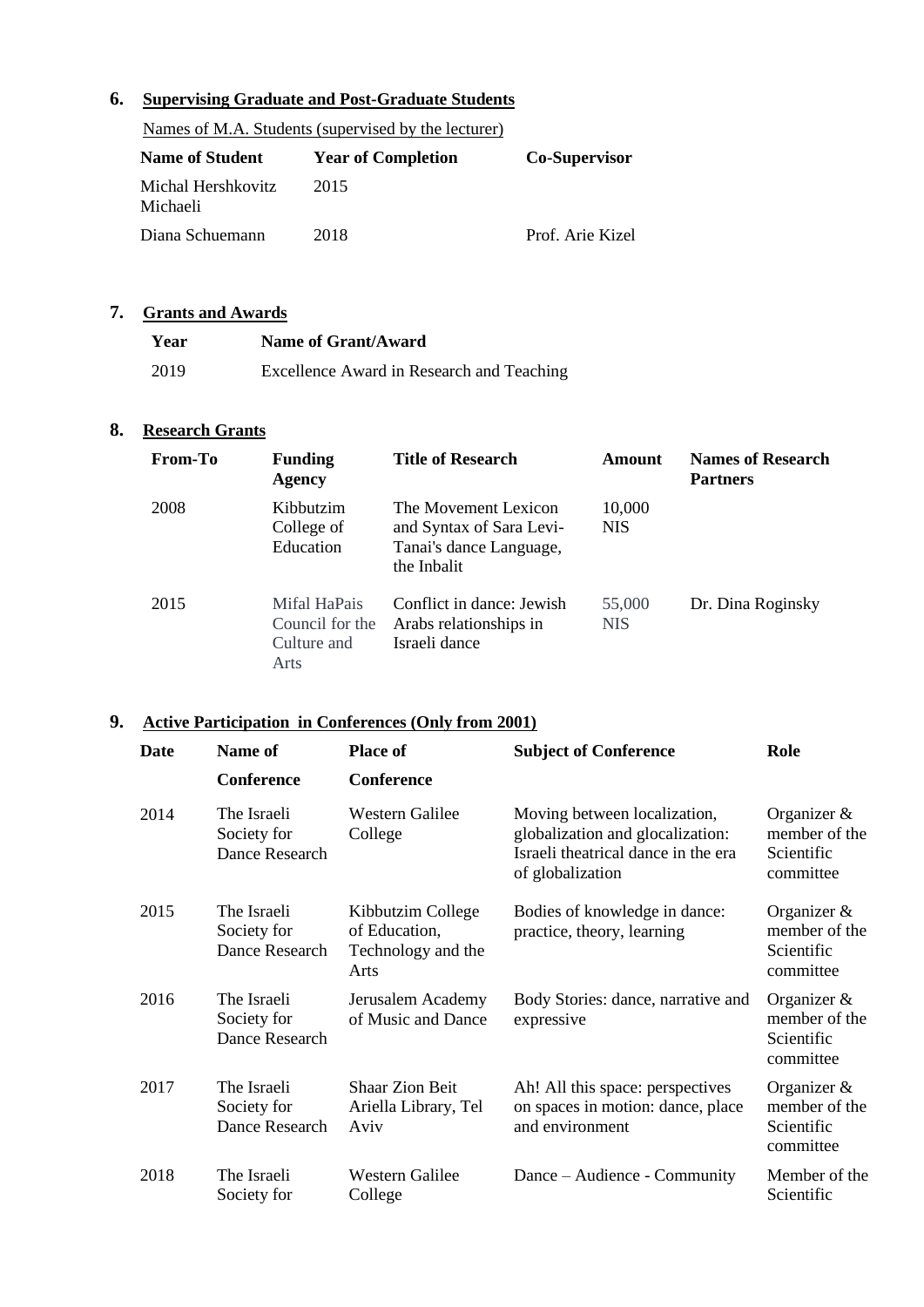## **6. Supervising Graduate and Post-Graduate Students**

|                                | Names of M.A. Students (supervised by the lecturer) |                      |
|--------------------------------|-----------------------------------------------------|----------------------|
| <b>Name of Student</b>         | <b>Year of Completion</b>                           | <b>Co-Supervisor</b> |
| Michal Hershkovitz<br>Michaeli | 2015                                                |                      |
| Diana Schuemann                | 2018                                                | Prof. Arie Kizel     |

### **7. Grants and Awards**

| Year | Name of Grant/Award                       |
|------|-------------------------------------------|
| 2019 | Excellence Award in Research and Teaching |

### **8. Research Grants**

| From-To | <b>Funding</b><br>Agency                               | <b>Title of Research</b>                                                                   | Amount               | <b>Names of Research</b><br><b>Partners</b> |
|---------|--------------------------------------------------------|--------------------------------------------------------------------------------------------|----------------------|---------------------------------------------|
| 2008    | Kibbutzim<br>College of<br>Education                   | The Movement Lexicon<br>and Syntax of Sara Levi-<br>Tanai's dance Language,<br>the Inbalit | 10,000<br><b>NIS</b> |                                             |
| 2015    | Mifal HaPais<br>Council for the<br>Culture and<br>Arts | Conflict in dance: Jewish<br>Arabs relationships in<br>Israeli dance                       | 55,000<br><b>NIS</b> | Dr. Dina Roginsky                           |

### **9. Active Participation in Conferences (Only from 2001)**

| Date | Name of<br><b>Conference</b>                 | <b>Place of</b><br>Conference                                    | <b>Subject of Conference</b>                                                                                                | Role                                                       |
|------|----------------------------------------------|------------------------------------------------------------------|-----------------------------------------------------------------------------------------------------------------------------|------------------------------------------------------------|
| 2014 | The Israeli<br>Society for<br>Dance Research | Western Galilee<br>College                                       | Moving between localization,<br>globalization and glocalization:<br>Israeli theatrical dance in the era<br>of globalization | Organizer $\&$<br>member of the<br>Scientific<br>committee |
| 2015 | The Israeli<br>Society for<br>Dance Research | Kibbutzim College<br>of Education,<br>Technology and the<br>Arts | Bodies of knowledge in dance:<br>practice, theory, learning                                                                 | Organizer $\&$<br>member of the<br>Scientific<br>committee |
| 2016 | The Israeli<br>Society for<br>Dance Research | Jerusalem Academy<br>of Music and Dance                          | Body Stories: dance, narrative and<br>expressive                                                                            | Organizer $\&$<br>member of the<br>Scientific<br>committee |
| 2017 | The Israeli<br>Society for<br>Dance Research | <b>Shaar Zion Beit</b><br>Ariella Library, Tel<br>Aviv           | Ah! All this space: perspectives<br>on spaces in motion: dance, place<br>and environment                                    | Organizer $\&$<br>member of the<br>Scientific<br>committee |
| 2018 | The Israeli<br>Society for                   | Western Galilee<br>College                                       | Dance – Audience - Community                                                                                                | Member of the<br>Scientific                                |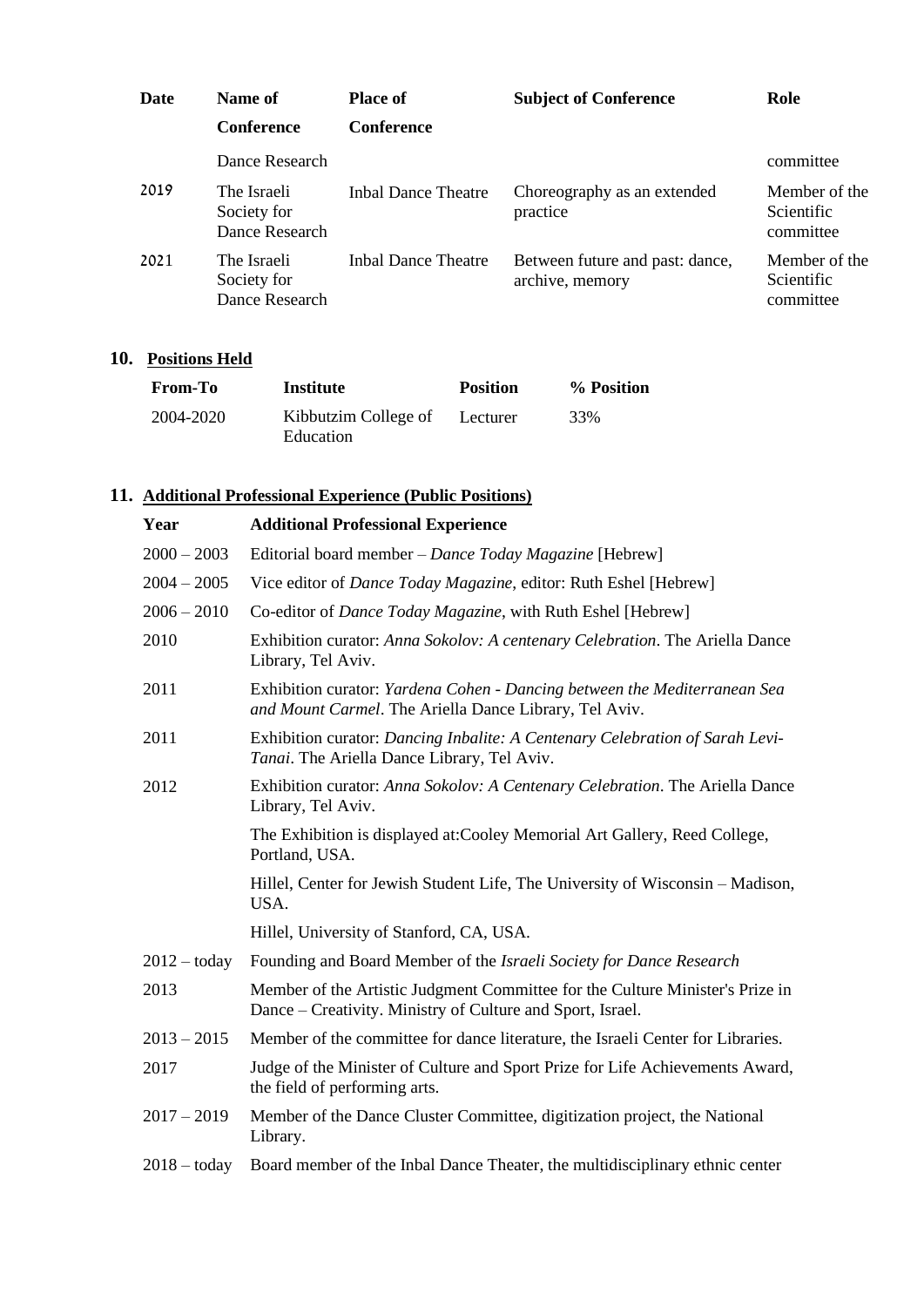| Date | Name of                                      | <b>Place of</b>     | <b>Subject of Conference</b>                       | Role                                     |
|------|----------------------------------------------|---------------------|----------------------------------------------------|------------------------------------------|
|      | <b>Conference</b>                            | Conference          |                                                    |                                          |
|      | Dance Research                               |                     |                                                    | committee                                |
| 2019 | The Israeli<br>Society for<br>Dance Research | Inbal Dance Theatre | Choreography as an extended<br>practice            | Member of the<br>Scientific<br>committee |
| 2021 | The Israeli<br>Society for<br>Dance Research | Inbal Dance Theatre | Between future and past: dance,<br>archive, memory | Member of the<br>Scientific<br>committee |

## **10. Positions Held**

| <b>From-To</b> | Institute                         | <b>Position</b> | % Position |
|----------------|-----------------------------------|-----------------|------------|
| 2004-2020      | Kibbutzim College of<br>Education | Lecturer        | 33%        |

# **11. Additional Professional Experience (Public Positions)**

| Year           | <b>Additional Professional Experience</b>                                                                                                   |
|----------------|---------------------------------------------------------------------------------------------------------------------------------------------|
| $2000 - 2003$  | Editorial board member – Dance Today Magazine [Hebrew]                                                                                      |
| $2004 - 2005$  | Vice editor of <i>Dance Today Magazine</i> , editor: Ruth Eshel [Hebrew]                                                                    |
| $2006 - 2010$  | Co-editor of Dance Today Magazine, with Ruth Eshel [Hebrew]                                                                                 |
| 2010           | Exhibition curator: Anna Sokolov: A centenary Celebration. The Ariella Dance<br>Library, Tel Aviv.                                          |
| 2011           | Exhibition curator: Yardena Cohen - Dancing between the Mediterranean Sea<br>and Mount Carmel. The Ariella Dance Library, Tel Aviv.         |
| 2011           | Exhibition curator: Dancing Inbalite: A Centenary Celebration of Sarah Levi-<br>Tanai. The Ariella Dance Library, Tel Aviv.                 |
| 2012           | Exhibition curator: Anna Sokolov: A Centenary Celebration. The Ariella Dance<br>Library, Tel Aviv.                                          |
|                | The Exhibition is displayed at: Cooley Memorial Art Gallery, Reed College,<br>Portland, USA.                                                |
|                | Hillel, Center for Jewish Student Life, The University of Wisconsin - Madison,<br>USA.                                                      |
|                | Hillel, University of Stanford, CA, USA.                                                                                                    |
| $2012 -$ today | Founding and Board Member of the <i>Israeli Society for Dance Research</i>                                                                  |
| 2013           | Member of the Artistic Judgment Committee for the Culture Minister's Prize in<br>Dance – Creativity. Ministry of Culture and Sport, Israel. |
| $2013 - 2015$  | Member of the committee for dance literature, the Israeli Center for Libraries.                                                             |
| 2017           | Judge of the Minister of Culture and Sport Prize for Life Achievements Award,<br>the field of performing arts.                              |
| $2017 - 2019$  | Member of the Dance Cluster Committee, digitization project, the National<br>Library.                                                       |
| $2018 -$ today | Board member of the Inbal Dance Theater, the multidisciplinary ethnic center                                                                |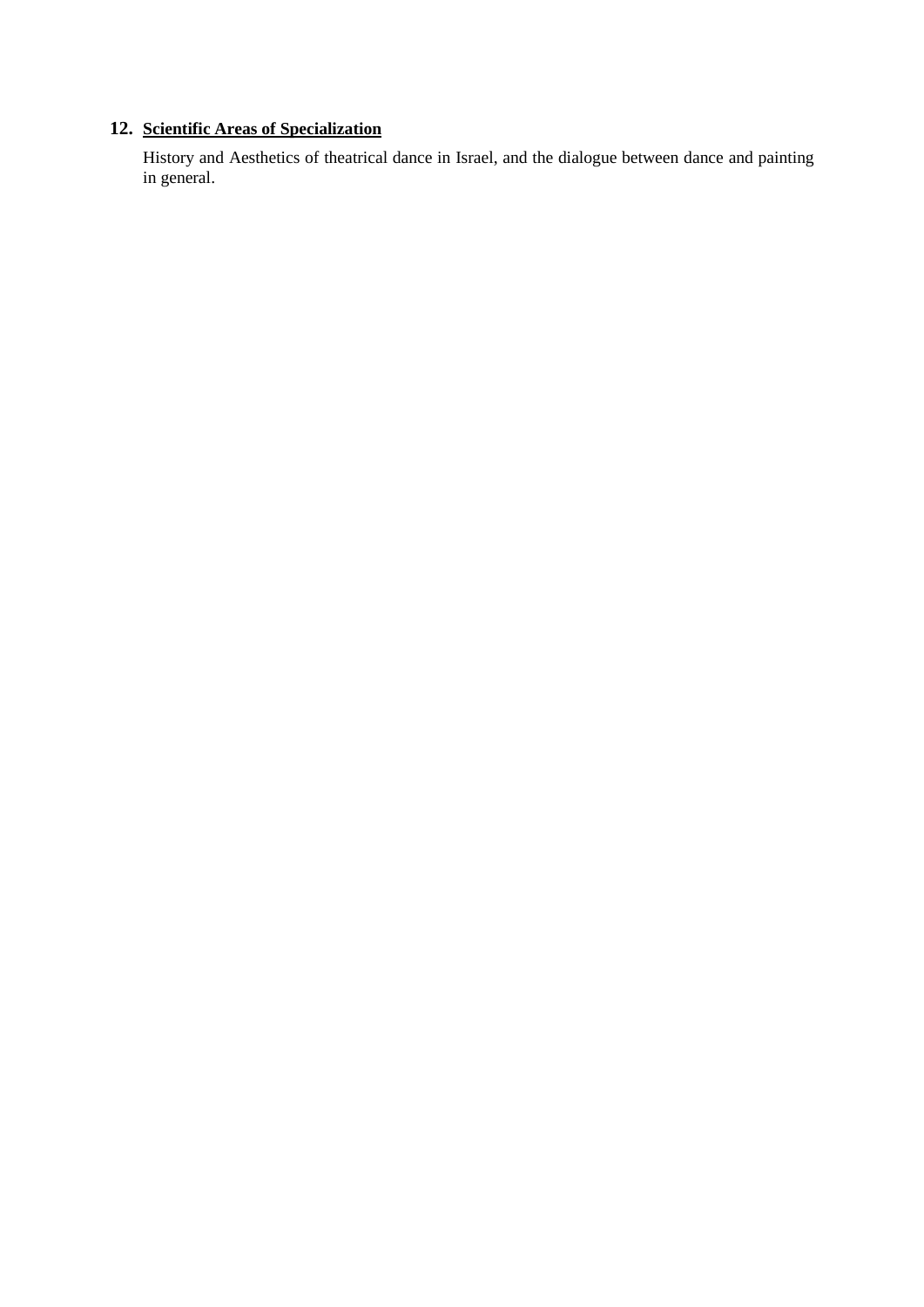### **12. Scientific Areas of Specialization**

History and Aesthetics of theatrical dance in Israel, and the dialogue between dance and painting in general.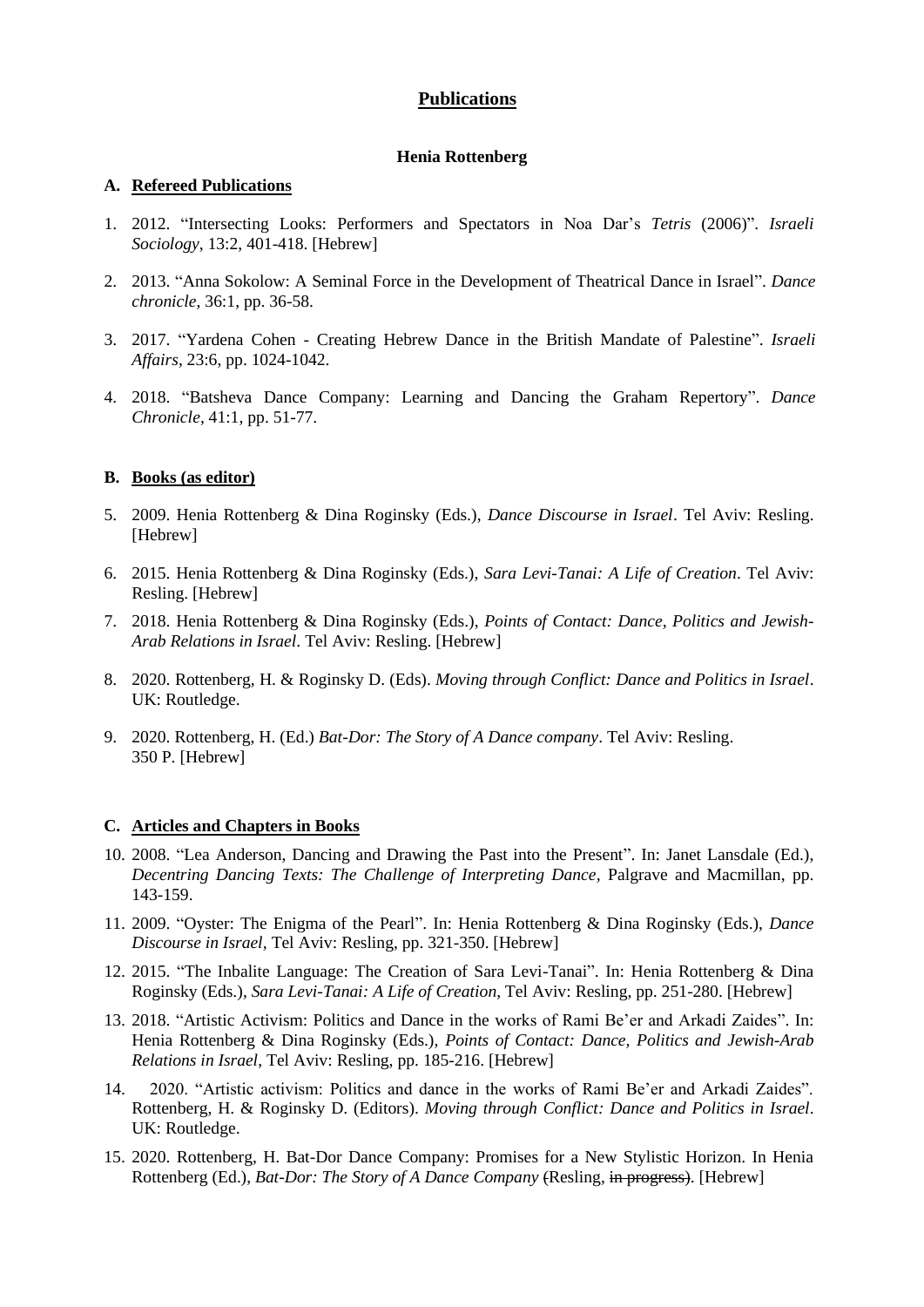### **Publications**

### **Henia Rottenberg**

#### **A. Refereed Publications**

- 1. 2012. "Intersecting Looks: Performers and Spectators in Noa Dar's *Tetris* (2006)". *Israeli Sociology*, 13:2, 401-418. [Hebrew]
- 2. 2013. "Anna Sokolow: A Seminal Force in the Development of Theatrical Dance in Israel". *Dance chronicle*, 36:1, pp. 36-58.
- 3. 2017. "Yardena Cohen Creating Hebrew Dance in the British Mandate of Palestine". *Israeli Affairs*, 23:6, pp. 1024-1042.
- 4. 2018. "Batsheva Dance Company: Learning and Dancing the Graham Repertory". *Dance Chronicle*, 41:1, pp. 51-77.

### **B. Books (as editor)**

- 5. 2009. Henia Rottenberg & Dina Roginsky (Eds.), *Dance Discourse in Israel*. Tel Aviv: Resling. [Hebrew]
- 6. 2015. Henia Rottenberg & Dina Roginsky (Eds.), *Sara Levi-Tanai: A Life of Creation*. Tel Aviv: Resling. [Hebrew]
- 7. 2018. Henia Rottenberg & Dina Roginsky (Eds.), *Points of Contact: Dance, Politics and Jewish-Arab Relations in Israel*. Tel Aviv: Resling. [Hebrew]
- 8. 2020. Rottenberg, H. & Roginsky D. (Eds). *Moving through Conflict: Dance and Politics in Israel*. UK: Routledge.
- 9. 2020. Rottenberg, H. (Ed.) *Bat-Dor: The Story of A Dance company*. Tel Aviv: Resling. 350 P. [Hebrew]

#### **C. Articles and Chapters in Books**

- 10. 2008. "Lea Anderson, Dancing and Drawing the Past into the Present". In: Janet Lansdale (Ed.), *Decentring Dancing Texts: The Challenge of Interpreting Dance, Palgrave and Macmillan, pp.* 143-159.
- 11. 2009. "Oyster: The Enigma of the Pearl". In: Henia Rottenberg & Dina Roginsky (Eds.), *Dance Discourse in Israel*, Tel Aviv: Resling, pp. 321-350. [Hebrew]
- 12. 2015. "The Inbalite Language: The Creation of Sara Levi-Tanai". In: Henia Rottenberg & Dina Roginsky (Eds.), *Sara Levi-Tanai: A Life of Creation*, Tel Aviv: Resling, pp. 251-280. [Hebrew]
- 13. 2018. "Artistic Activism: Politics and Dance in the works of Rami Be'er and Arkadi Zaides". In: Henia Rottenberg & Dina Roginsky (Eds.), *Points of Contact: Dance, Politics and Jewish-Arab Relations in Israel*, Tel Aviv: Resling, pp. 185-216. [Hebrew]
- 14. 2020. "Artistic activism: Politics and dance in the works of Rami Be'er and Arkadi Zaides". Rottenberg, H. & Roginsky D. (Editors). *Moving through Conflict: Dance and Politics in Israel*. UK: Routledge.
- 15. 2020. Rottenberg, H. Bat-Dor Dance Company: Promises for a New Stylistic Horizon. In Henia Rottenberg (Ed.), *Bat-Dor: The Story of A Dance Company* (Resling, in progress). [Hebrew]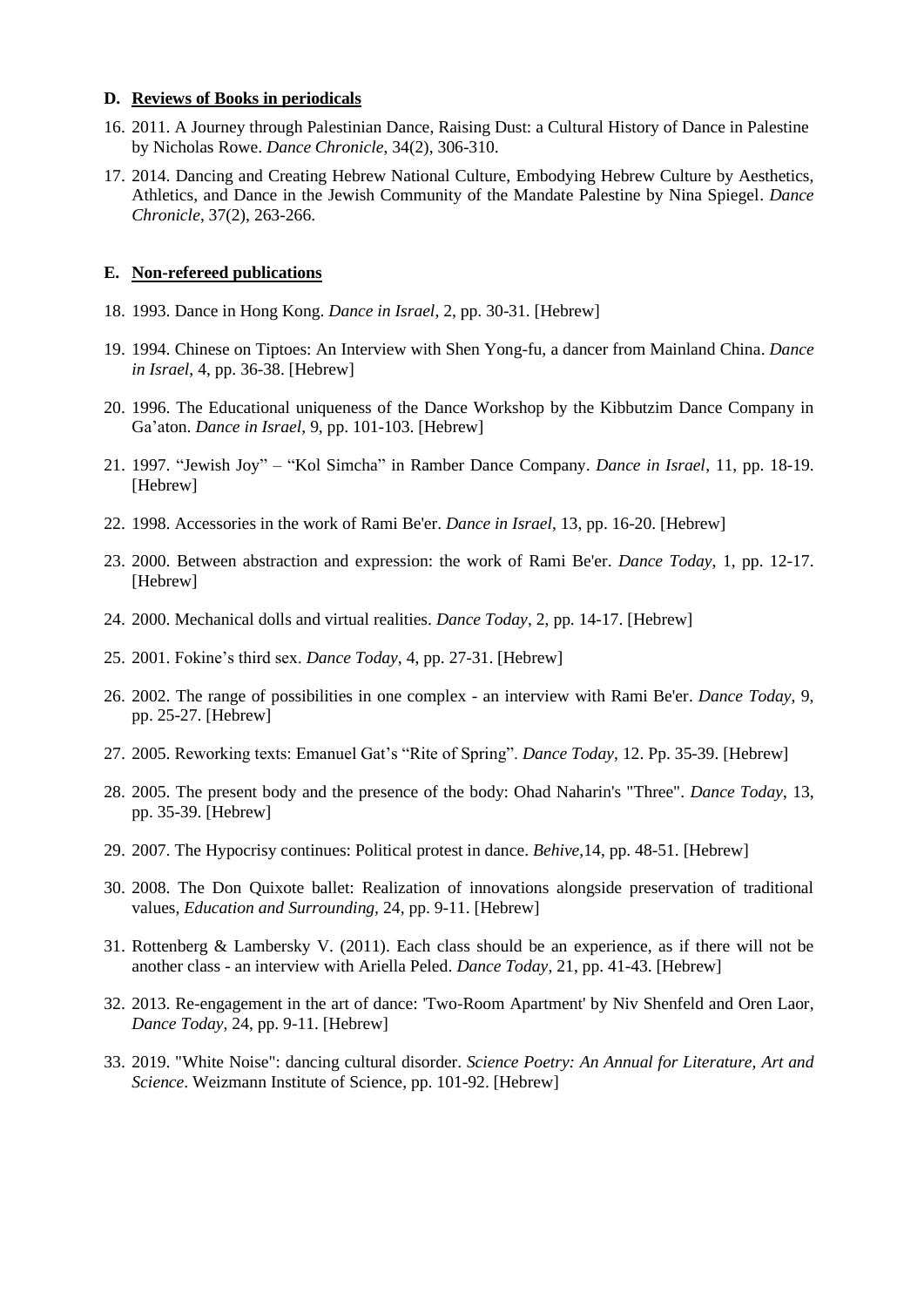#### **D. Reviews of Books in periodicals**

- 16. 2011. A Journey through Palestinian Dance, Raising Dust: a Cultural History of Dance in Palestine by Nicholas Rowe. *Dance Chronicle*, 34(2), 306-310.
- 17. 2014. Dancing and Creating Hebrew National Culture, Embodying Hebrew Culture by Aesthetics, Athletics, and Dance in the Jewish Community of the Mandate Palestine by Nina Spiegel. *Dance Chronicle*, 37(2), 263-266.

#### **E. Non-refereed publications**

- 18. 1993. Dance in Hong Kong. *Dance in Israel*, 2, pp. 30-31. [Hebrew]
- 19. 1994. Chinese on Tiptoes: An Interview with Shen Yong-fu, a dancer from Mainland China. *Dance in Israel*, 4, pp. 36-38. [Hebrew]
- 20. 1996. The Educational uniqueness of the Dance Workshop by the Kibbutzim Dance Company in Ga'aton. *Dance in Israel*, 9, pp. 101-103. [Hebrew]
- 21. 1997. "Jewish Joy" "Kol Simcha" in Ramber Dance Company. *Dance in Israel*, 11, pp. 18-19. [Hebrew]
- 22. 1998. Accessories in the work of Rami Be'er. *Dance in Israel*, 13, pp. 16-20. [Hebrew]
- 23. 2000. Between abstraction and expression: the work of Rami Be'er. *Dance Today*, 1, pp. 12-17. [Hebrew]
- 24. 2000. Mechanical dolls and virtual realities. *Dance Today*, 2, pp. 14-17. [Hebrew]
- 25. 2001. Fokine's third sex. *Dance Today*, 4, pp. 27-31. [Hebrew]
- 26. 2002. The range of possibilities in one complex an interview with Rami Be'er. *Dance Today*, 9, pp. 25-27. [Hebrew]
- 27. 2005. Reworking texts: Emanuel Gat's "Rite of Spring". *Dance Today*, 12. Pp. 35-39. [Hebrew]
- 28. 2005. The present body and the presence of the body: Ohad Naharin's "Three". *Dance Today*, 13, pp. 35-39. [Hebrew]
- 29. 2007. The Hypocrisy continues: Political protest in dance. *Behive*,14, pp. 48-51. [Hebrew]
- 30. 2008. The Don Quixote ballet: Realization of innovations alongside preservation of traditional values, *Education and Surrounding,* 24, pp. 9-11. [Hebrew]
- 31. Rottenberg & Lambersky V. (2011). Each class should be an experience, as if there will not be another class - an interview with Ariella Peled. *Dance Today*, 21, pp. 41-43. [Hebrew]
- 32. 2013. Re-engagement in the art of dance: 'Two-Room Apartment' by Niv Shenfeld and Oren Laor, *Dance Today*, 24, pp. 9-11. [Hebrew]
- 33. 2019. "White Noise": dancing cultural disorder. *Science Poetry: An Annual for Literature, Art and Science*. Weizmann Institute of Science, pp. 101-92. [Hebrew]